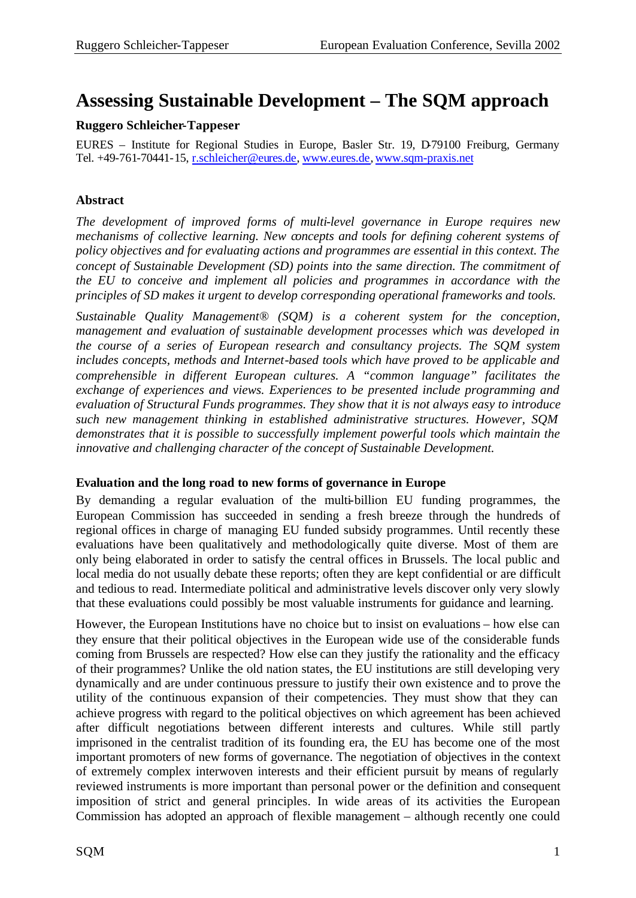# **Assessing Sustainable Development – The SQM approach**

#### **Ruggero Schleicher-Tappeser**

EURES – Institute for Regional Studies in Europe, Basler Str. 19, D-79100 Freiburg, Germany Tel. +49-761-70441-15, r.schleicher@eures.de, www.eures.de, www.sqm-praxis.net

### **Abstract**

*The development of improved forms of multi-level governance in Europe requires new* mechanisms of collective learning. New concepts and tools for defining coherent systems of *policy objectives and for evaluating actions and programmes are essential in this context. The concept of Sustainable Development (SD) points into the same direction. The commitment of the EU to conceive and implement all policies and programmes in accordance with the principles of SD makes it urgent to develop corresponding operational frameworks and tools.*

*Sustainable Quality Management® (SQM) is a coherent system for the conception, management and evaluation of sustainable development processes which was developed in the course of a series of European research and consultancy projects. The SQM system includes concepts, methods and Internet-based tools which have proved to be applicable and comprehensible in different European cultures. A "common language" facilitates the exchange of experiences and views. Experiences to be presented include programming and evaluation of Structural Funds programmes. They show that it is not always easy to introduce such new management thinking in established administrative structures. However, SQM*  demonstrates that it is possible to successfully implement powerful tools which maintain the *innovative and challenging character of the concept of Sustainable Development.*

#### **Evaluation and the long road to new forms of governance in Europe**

By demanding a regular evaluation of the multi-billion EU funding programmes, the European Commission has succeeded in sending a fresh breeze through the hundreds of regional offices in charge of managing EU funded subsidy programmes. Until recently these evaluations have been qualitatively and methodologically quite diverse. Most of them are only being elaborated in order to satisfy the central offices in Brussels. The local public and local media do not usually debate these reports; often they are kept confidential or are difficult and tedious to read. Intermediate political and administrative levels discover only very slowly that these evaluations could possibly be most valuable instruments for guidance and learning.

However, the European Institutions have no choice but to insist on evaluations – how else can they ensure that their political objectives in the European wide use of the considerable funds coming from Brussels are respected? How else can they justify the rationality and the efficacy of their programmes? Unlike the old nation states, the EU institutions are still developing very dynamically and are under continuous pressure to justify their own existence and to prove the utility of the continuous expansion of their competencies. They must show that they can achieve progress with regard to the political objectives on which agreement has been achieved after difficult negotiations between different interests and cultures. While still partly imprisoned in the centralist tradition of its founding era, the EU has become one of the most important promoters of new forms of governance. The negotiation of objectives in the context of extremely complex interwoven interests and their efficient pursuit by means of regularly reviewed instruments is more important than personal power or the definition and consequent imposition of strict and general principles. In wide areas of its activities the European Commission has adopted an approach of flexible management – although recently one could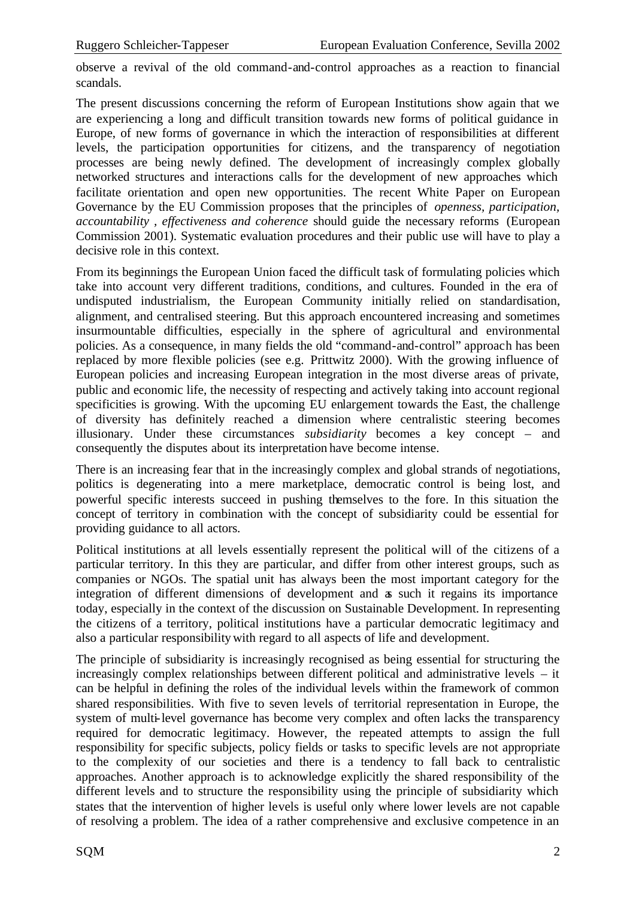observe a revival of the old command-and-control approaches as a reaction to financial scandals.

The present discussions concerning the reform of European Institutions show again that we are experiencing a long and difficult transition towards new forms of political guidance in Europe, of new forms of governance in which the interaction of responsibilities at different levels, the participation opportunities for citizens, and the transparency of negotiation processes are being newly defined. The development of increasingly complex globally networked structures and interactions calls for the development of new approaches which facilitate orientation and open new opportunities. The recent White Paper on European Governance by the EU Commission proposes that the principles of *openness, participation, accountability , effectiveness and coherence* should guide the necessary reforms (European Commission 2001). Systematic evaluation procedures and their public use will have to play a decisive role in this context.

From its beginnings the European Union faced the difficult task of formulating policies which take into account very different traditions, conditions, and cultures. Founded in the era of undisputed industrialism, the European Community initially relied on standardisation, alignment, and centralised steering. But this approach encountered increasing and sometimes insurmountable difficulties, especially in the sphere of agricultural and environmental policies. As a consequence, in many fields the old "command-and-control" approach has been replaced by more flexible policies (see e.g. Prittwitz 2000). With the growing influence of European policies and increasing European integration in the most diverse areas of private, public and economic life, the necessity of respecting and actively taking into account regional specificities is growing. With the upcoming EU enlargement towards the East, the challenge of diversity has definitely reached a dimension where centralistic steering becomes illusionary. Under these circumstances *subsidiarity* becomes a key concept – and consequently the disputes about its interpretation have become intense.

There is an increasing fear that in the increasingly complex and global strands of negotiations, politics is degenerating into a mere marketplace, democratic control is being lost, and powerful specific interests succeed in pushing themselves to the fore. In this situation the concept of territory in combination with the concept of subsidiarity could be essential for providing guidance to all actors.

Political institutions at all levels essentially represent the political will of the citizens of a particular territory. In this they are particular, and differ from other interest groups, such as companies or NGOs. The spatial unit has always been the most important category for the integration of different dimensions of development and as such it regains its importance today, especially in the context of the discussion on Sustainable Development. In representing the citizens of a territory, political institutions have a particular democratic legitimacy and also a particular responsibility with regard to all aspects of life and development.

The principle of subsidiarity is increasingly recognised as being essential for structuring the increasingly complex relationships between different political and administrative levels – it can be helpful in defining the roles of the individual levels within the framework of common shared responsibilities. With five to seven levels of territorial representation in Europe, the system of multi-level governance has become very complex and often lacks the transparency required for democratic legitimacy. However, the repeated attempts to assign the full responsibility for specific subjects, policy fields or tasks to specific levels are not appropriate to the complexity of our societies and there is a tendency to fall back to centralistic approaches. Another approach is to acknowledge explicitly the shared responsibility of the different levels and to structure the responsibility using the principle of subsidiarity which states that the intervention of higher levels is useful only where lower levels are not capable of resolving a problem. The idea of a rather comprehensive and exclusive competence in an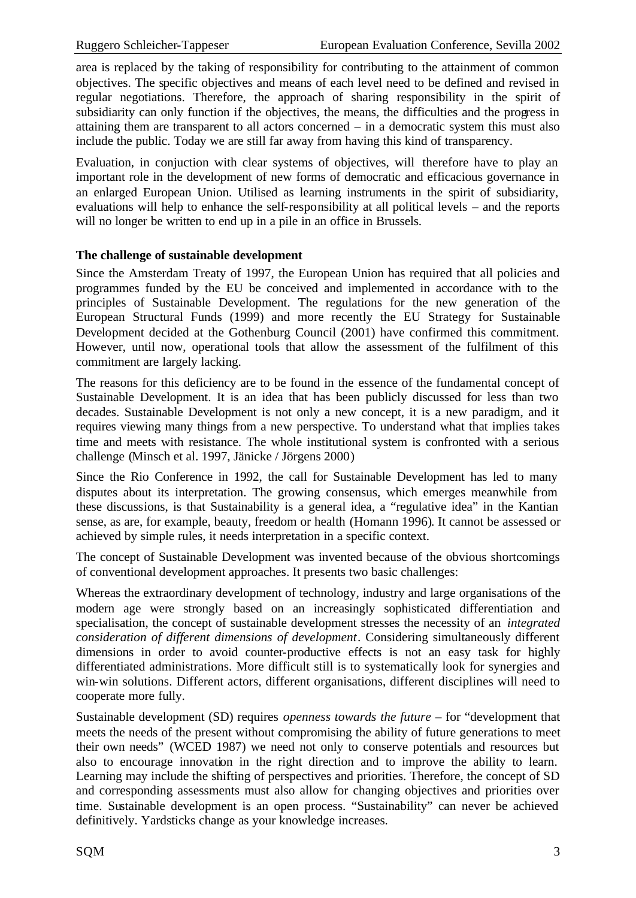area is replaced by the taking of responsibility for contributing to the attainment of common objectives. The specific objectives and means of each level need to be defined and revised in regular negotiations. Therefore, the approach of sharing responsibility in the spirit of subsidiarity can only function if the objectives, the means, the difficulties and the progress in attaining them are transparent to all actors concerned – in a democratic system this must also include the public. Today we are still far away from having this kind of transparency.

Evaluation, in conjuction with clear systems of objectives, will therefore have to play an important role in the development of new forms of democratic and efficacious governance in an enlarged European Union. Utilised as learning instruments in the spirit of subsidiarity, evaluations will help to enhance the self-responsibility at all political levels – and the reports will no longer be written to end up in a pile in an office in Brussels.

#### **The challenge of sustainable development**

Since the Amsterdam Treaty of 1997, the European Union has required that all policies and programmes funded by the EU be conceived and implemented in accordance with to the principles of Sustainable Development. The regulations for the new generation of the European Structural Funds (1999) and more recently the EU Strategy for Sustainable Development decided at the Gothenburg Council (2001) have confirmed this commitment. However, until now, operational tools that allow the assessment of the fulfilment of this commitment are largely lacking.

The reasons for this deficiency are to be found in the essence of the fundamental concept of Sustainable Development. It is an idea that has been publicly discussed for less than two decades. Sustainable Development is not only a new concept, it is a new paradigm, and it requires viewing many things from a new perspective. To understand what that implies takes time and meets with resistance. The whole institutional system is confronted with a serious challenge (Minsch et al. 1997, Jänicke / Jörgens 2000)

Since the Rio Conference in 1992, the call for Sustainable Development has led to many disputes about its interpretation. The growing consensus, which emerges meanwhile from these discussions, is that Sustainability is a general idea, a "regulative idea" in the Kantian sense, as are, for example, beauty, freedom or health (Homann 1996). It cannot be assessed or achieved by simple rules, it needs interpretation in a specific context.

The concept of Sustainable Development was invented because of the obvious shortcomings of conventional development approaches. It presents two basic challenges:

Whereas the extraordinary development of technology, industry and large organisations of the modern age were strongly based on an increasingly sophisticated differentiation and specialisation, the concept of sustainable development stresses the necessity of an *integrated consideration of different dimensions of development*. Considering simultaneously different dimensions in order to avoid counter-productive effects is not an easy task for highly differentiated administrations. More difficult still is to systematically look for synergies and win-win solutions. Different actors, different organisations, different disciplines will need to cooperate more fully.

Sustainable development (SD) requires *openness towards the future* – for "development that meets the needs of the present without compromising the ability of future generations to meet their own needs" (WCED 1987) we need not only to conserve potentials and resources but also to encourage innovation in the right direction and to improve the ability to learn. Learning may include the shifting of perspectives and priorities. Therefore, the concept of SD and corresponding assessments must also allow for changing objectives and priorities over time. Sustainable development is an open process. "Sustainability" can never be achieved definitively. Yardsticks change as your knowledge increases.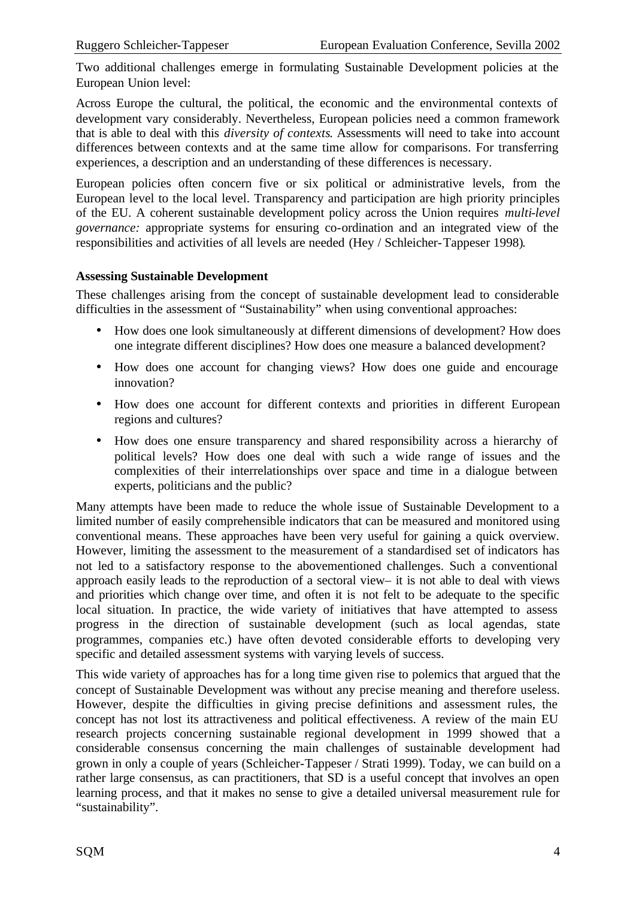Two additional challenges emerge in formulating Sustainable Development policies at the European Union level:

Across Europe the cultural, the political, the economic and the environmental contexts of development vary considerably. Nevertheless, European policies need a common framework that is able to deal with this *diversity of contexts*. Assessments will need to take into account differences between contexts and at the same time allow for comparisons. For transferring experiences, a description and an understanding of these differences is necessary.

European policies often concern five or six political or administrative levels, from the European level to the local level. Transparency and participation are high priority principles of the EU. A coherent sustainable development policy across the Union requires *multi-level governance:* appropriate systems for ensuring co-ordination and an integrated view of the responsibilities and activities of all levels are needed (Hey / Schleicher-Tappeser 1998).

### **Assessing Sustainable Development**

These challenges arising from the concept of sustainable development lead to considerable difficulties in the assessment of "Sustainability" when using conventional approaches:

- How does one look simultaneously at different dimensions of development? How does one integrate different disciplines? How does one measure a balanced development?
- How does one account for changing views? How does one guide and encourage innovation?
- How does one account for different contexts and priorities in different European regions and cultures?
- How does one ensure transparency and shared responsibility across a hierarchy of political levels? How does one deal with such a wide range of issues and the complexities of their interrelationships over space and time in a dialogue between experts, politicians and the public?

Many attempts have been made to reduce the whole issue of Sustainable Development to a limited number of easily comprehensible indicators that can be measured and monitored using conventional means. These approaches have been very useful for gaining a quick overview. However, limiting the assessment to the measurement of a standardised set of indicators has not led to a satisfactory response to the abovementioned challenges. Such a conventional approach easily leads to the reproduction of a sectoral view– it is not able to deal with views and priorities which change over time, and often it is not felt to be adequate to the specific local situation. In practice, the wide variety of initiatives that have attempted to assess progress in the direction of sustainable development (such as local agendas, state programmes, companies etc.) have often devoted considerable efforts to developing very specific and detailed assessment systems with varying levels of success.

This wide variety of approaches has for a long time given rise to polemics that argued that the concept of Sustainable Development was without any precise meaning and therefore useless. However, despite the difficulties in giving precise definitions and assessment rules, the concept has not lost its attractiveness and political effectiveness. A review of the main EU research projects concerning sustainable regional development in 1999 showed that a considerable consensus concerning the main challenges of sustainable development had grown in only a couple of years (Schleicher-Tappeser / Strati 1999). Today, we can build on a rather large consensus, as can practitioners, that SD is a useful concept that involves an open learning process, and that it makes no sense to give a detailed universal measurement rule for "sustainability".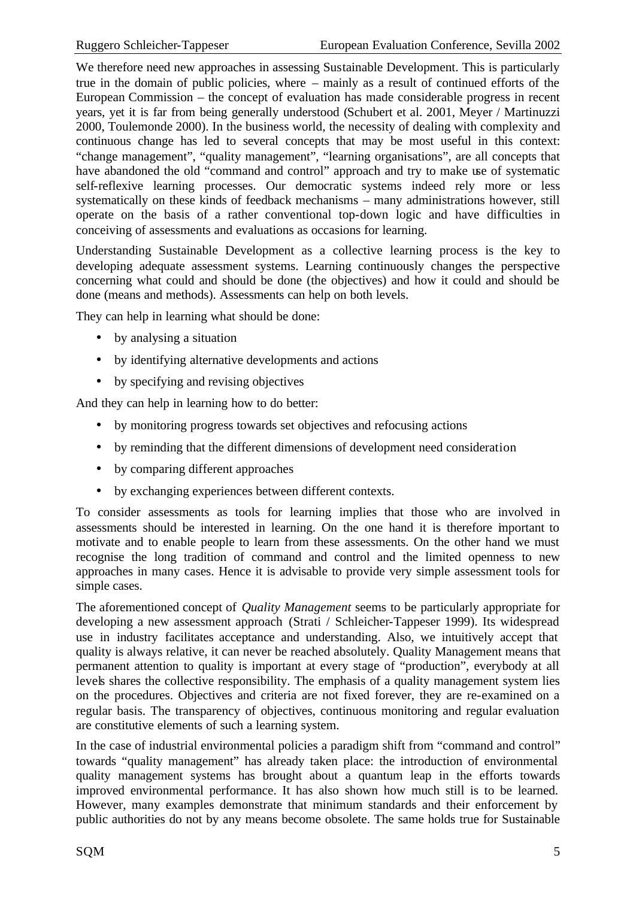We therefore need new approaches in assessing Sustainable Development. This is particularly true in the domain of public policies, where – mainly as a result of continued efforts of the European Commission – the concept of evaluation has made considerable progress in recent years, yet it is far from being generally understood (Schubert et al. 2001, Meyer / Martinuzzi 2000, Toulemonde 2000). In the business world, the necessity of dealing with complexity and continuous change has led to several concepts that may be most useful in this context: "change management", "quality management", "learning organisations", are all concepts that have abandoned the old "command and control" approach and try to make use of systematic self-reflexive learning processes. Our democratic systems indeed rely more or less systematically on these kinds of feedback mechanisms – many administrations however, still operate on the basis of a rather conventional top-down logic and have difficulties in conceiving of assessments and evaluations as occasions for learning.

Understanding Sustainable Development as a collective learning process is the key to developing adequate assessment systems. Learning continuously changes the perspective concerning what could and should be done (the objectives) and how it could and should be done (means and methods). Assessments can help on both levels.

They can help in learning what should be done:

- by analysing a situation
- by identifying alternative developments and actions
- by specifying and revising objectives

And they can help in learning how to do better:

- by monitoring progress towards set objectives and refocusing actions
- by reminding that the different dimensions of development need consideration
- by comparing different approaches
- by exchanging experiences between different contexts.

To consider assessments as tools for learning implies that those who are involved in assessments should be interested in learning. On the one hand it is therefore important to motivate and to enable people to learn from these assessments. On the other hand we must recognise the long tradition of command and control and the limited openness to new approaches in many cases. Hence it is advisable to provide very simple assessment tools for simple cases.

The aforementioned concept of *Quality Management* seems to be particularly appropriate for developing a new assessment approach (Strati / Schleicher-Tappeser 1999). Its widespread use in industry facilitates acceptance and understanding. Also, we intuitively accept that quality is always relative, it can never be reached absolutely. Quality Management means that permanent attention to quality is important at every stage of "production", everybody at all levels shares the collective responsibility. The emphasis of a quality management system lies on the procedures. Objectives and criteria are not fixed forever, they are re-examined on a regular basis. The transparency of objectives, continuous monitoring and regular evaluation are constitutive elements of such a learning system.

In the case of industrial environmental policies a paradigm shift from "command and control" towards "quality management" has already taken place: the introduction of environmental quality management systems has brought about a quantum leap in the efforts towards improved environmental performance. It has also shown how much still is to be learned. However, many examples demonstrate that minimum standards and their enforcement by public authorities do not by any means become obsolete. The same holds true for Sustainable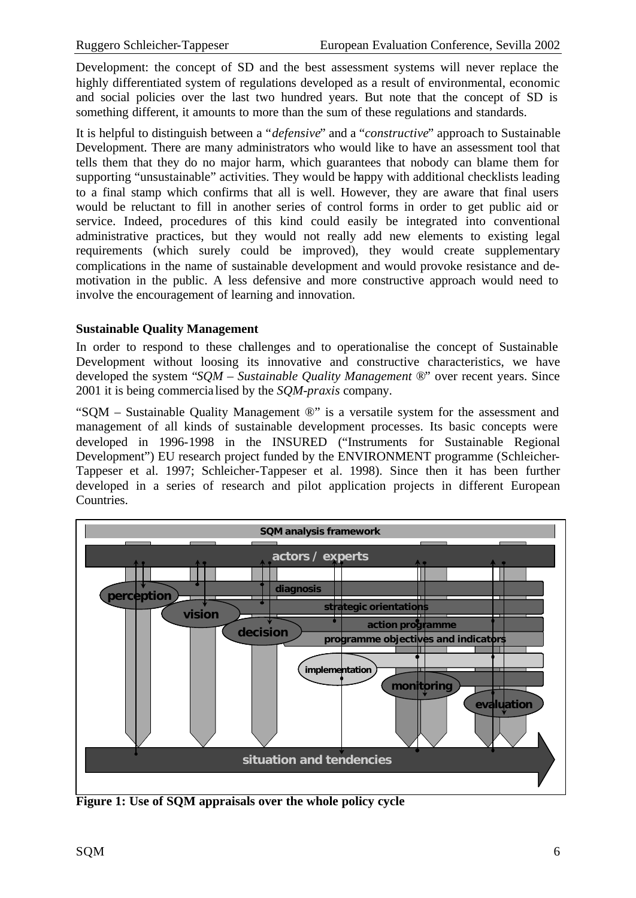Development: the concept of SD and the best assessment systems will never replace the highly differentiated system of regulations developed as a result of environmental, economic and social policies over the last two hundred years. But note that the concept of SD is something different, it amounts to more than the sum of these regulations and standards.

It is helpful to distinguish between a "*defensive*" and a "*constructive*" approach to Sustainable Development. There are many administrators who would like to have an assessment tool that tells them that they do no major harm, which guarantees that nobody can blame them for supporting "unsustainable" activities. They would be happy with additional checklists leading to a final stamp which confirms that all is well. However, they are aware that final users would be reluctant to fill in another series of control forms in order to get public aid or service. Indeed, procedures of this kind could easily be integrated into conventional administrative practices, but they would not really add new elements to existing legal requirements (which surely could be improved), they would create supplementary complications in the name of sustainable development and would provoke resistance and demotivation in the public. A less defensive and more constructive approach would need to involve the encouragement of learning and innovation.

#### **Sustainable Quality Management**

In order to respond to these challenges and to operationalise the concept of Sustainable Development without loosing its innovative and constructive characteristics, we have developed the system "*SQM – Sustainable Quality Management ®*" over recent years. Since 2001 it is being commercia lised by the *SQM-praxis* company.

"SQM – Sustainable Quality Management ®" is a versatile system for the assessment and management of all kinds of sustainable development processes. Its basic concepts were developed in 1996-1998 in the INSURED ("Instruments for Sustainable Regional Development") EU research project funded by the ENVIRONMENT programme (Schleicher-Tappeser et al. 1997; Schleicher-Tappeser et al. 1998). Since then it has been further developed in a series of research and pilot application projects in different European Countries.



**Figure 1: Use of SQM appraisals over the whole policy cycle**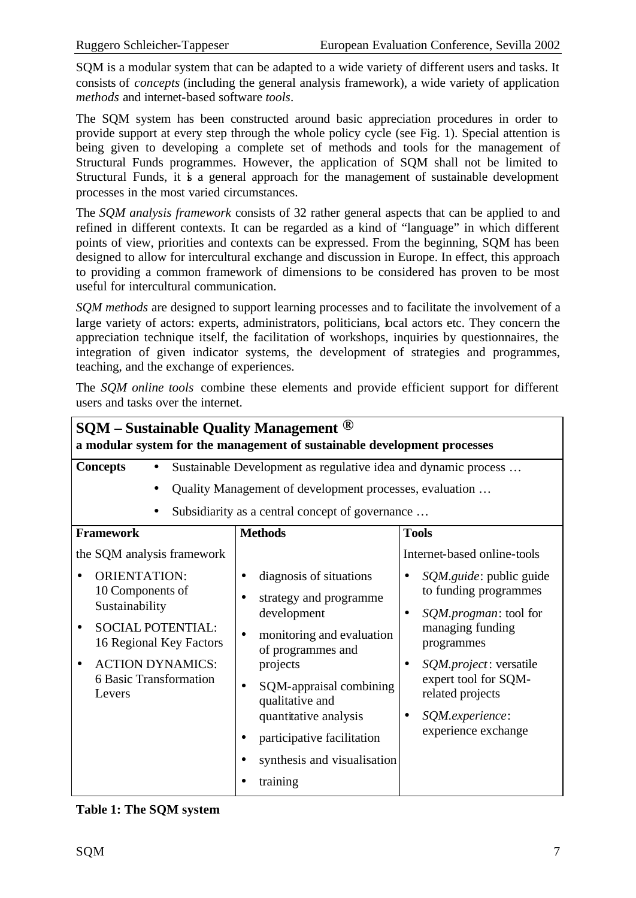SQM is a modular system that can be adapted to a wide variety of different users and tasks. It consists of *concepts* (including the general analysis framework), a wide variety of application *methods* and internet-based software *tools*.

The SQM system has been constructed around basic appreciation procedures in order to provide support at every step through the whole policy cycle (see Fig. 1). Special attention is being given to developing a complete set of methods and tools for the management of Structural Funds programmes. However, the application of SQM shall not be limited to Structural Funds, it is a general approach for the management of sustainable development processes in the most varied circumstances.

The *SQM analysis framework* consists of 32 rather general aspects that can be applied to and refined in different contexts. It can be regarded as a kind of "language" in which different points of view, priorities and contexts can be expressed. From the beginning, SQM has been designed to allow for intercultural exchange and discussion in Europe. In effect, this approach to providing a common framework of dimensions to be considered has proven to be most useful for intercultural communication.

*SQM methods* are designed to support learning processes and to facilitate the involvement of a large variety of actors: experts, administrators, politicians, local actors etc. They concern the appreciation technique itself, the facilitation of workshops, inquiries by questionnaires, the integration of given indicator systems, the development of strategies and programmes, teaching, and the exchange of experiences.

The *SQM online tools* combine these elements and provide efficient support for different users and tasks over the internet.

| $SQM -$ Sustainable Quality Management $\mathbb{R}$<br>a modular system for the management of sustainable development processes                                                 |                                                                                                                                                                                                                                                                                                                       |                                                                                                                                                                                                                             |  |  |  |  |  |
|---------------------------------------------------------------------------------------------------------------------------------------------------------------------------------|-----------------------------------------------------------------------------------------------------------------------------------------------------------------------------------------------------------------------------------------------------------------------------------------------------------------------|-----------------------------------------------------------------------------------------------------------------------------------------------------------------------------------------------------------------------------|--|--|--|--|--|
| <b>Concepts</b>                                                                                                                                                                 | Sustainable Development as regulative idea and dynamic process<br>Quality Management of development processes, evaluation<br>Subsidiarity as a central concept of governance                                                                                                                                          |                                                                                                                                                                                                                             |  |  |  |  |  |
| <b>Framework</b><br>the SQM analysis framework                                                                                                                                  | <b>Methods</b>                                                                                                                                                                                                                                                                                                        | <b>Tools</b><br>Internet-based online-tools                                                                                                                                                                                 |  |  |  |  |  |
| <b>ORIENTATION:</b><br>10 Components of<br>Sustainability<br><b>SOCIAL POTENTIAL:</b><br>16 Regional Key Factors<br><b>ACTION DYNAMICS:</b><br>6 Basic Transformation<br>Levers | diagnosis of situations<br>strategy and programme<br>$\bullet$<br>development<br>monitoring and evaluation<br>$\bullet$<br>of programmes and<br>projects<br>SQM-appraisal combining<br>$\bullet$<br>qualitative and<br>quantitative analysis<br>participative facilitation<br>synthesis and visualisation<br>training | SQM.guide: public guide<br>to funding programmes<br>SQM.progman: tool for<br>managing funding<br>programmes<br>SQM.project: versatile<br>expert tool for SQM-<br>related projects<br>SQM.experience:<br>experience exchange |  |  |  |  |  |

#### **Table 1: The SQM system**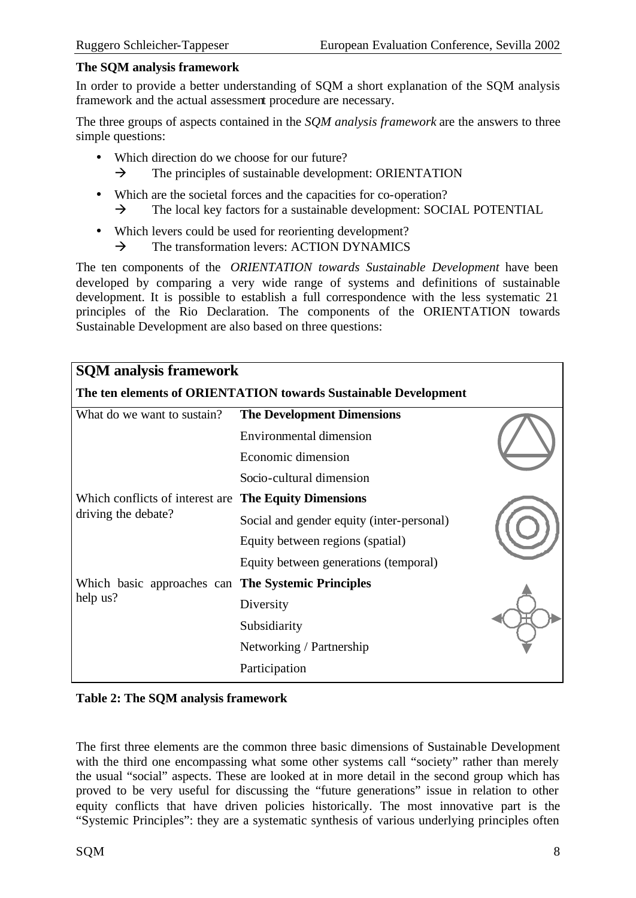#### **The SQM analysis framework**

In order to provide a better understanding of SQM a short explanation of the SQM analysis framework and the actual assessment procedure are necessary.

The three groups of aspects contained in the *SQM analysis framework* are the answers to three simple questions:

- Which direction do we choose for our future?
	- $\rightarrow$  The principles of sustainable development: ORIENTATION
- Which are the societal forces and the capacities for co-operation?
	- $\rightarrow$  The local key factors for a sustainable development: SOCIAL POTENTIAL
- Which levers could be used for reorienting development?
	- $\rightarrow$  The transformation levers: ACTION DYNAMICS

The ten components of the *ORIENTATION towards Sustainable Development* have been developed by comparing a very wide range of systems and definitions of sustainable development. It is possible to establish a full correspondence with the less systematic 21 principles of the Rio Declaration. The components of the ORIENTATION towards Sustainable Development are also based on three questions:

| <b>SQM</b> analysis framework                                                |                                           |  |  |  |  |
|------------------------------------------------------------------------------|-------------------------------------------|--|--|--|--|
| The ten elements of ORIENTATION towards Sustainable Development              |                                           |  |  |  |  |
| What do we want to sustain?                                                  | <b>The Development Dimensions</b>         |  |  |  |  |
|                                                                              | Environmental dimension                   |  |  |  |  |
|                                                                              | Economic dimension                        |  |  |  |  |
|                                                                              | Socio-cultural dimension                  |  |  |  |  |
| Which conflicts of interest are The Equity Dimensions<br>driving the debate? |                                           |  |  |  |  |
|                                                                              | Social and gender equity (inter-personal) |  |  |  |  |
|                                                                              | Equity between regions (spatial)          |  |  |  |  |
|                                                                              | Equity between generations (temporal)     |  |  |  |  |
| Which basic approaches can The Systemic Principles<br>help us?               |                                           |  |  |  |  |
|                                                                              | Diversity                                 |  |  |  |  |
|                                                                              | Subsidiarity                              |  |  |  |  |
|                                                                              | Networking / Partnership                  |  |  |  |  |
|                                                                              | Participation                             |  |  |  |  |

#### **Table 2: The SQM analysis framework**

The first three elements are the common three basic dimensions of Sustainable Development with the third one encompassing what some other systems call "society" rather than merely the usual "social" aspects. These are looked at in more detail in the second group which has proved to be very useful for discussing the "future generations" issue in relation to other equity conflicts that have driven policies historically. The most innovative part is the "Systemic Principles": they are a systematic synthesis of various underlying principles often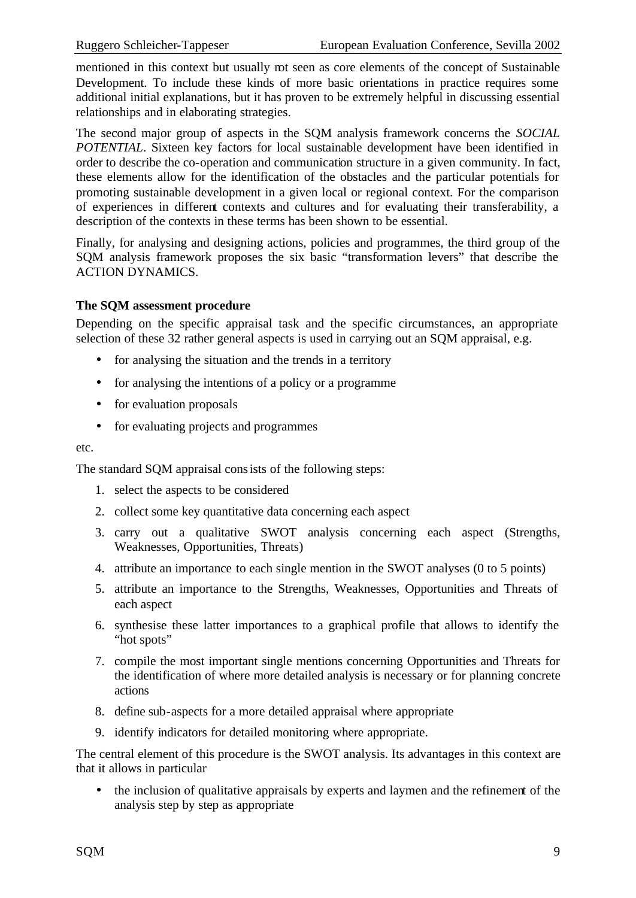mentioned in this context but usually mt seen as core elements of the concept of Sustainable Development. To include these kinds of more basic orientations in practice requires some additional initial explanations, but it has proven to be extremely helpful in discussing essential relationships and in elaborating strategies.

The second major group of aspects in the SQM analysis framework concerns the *SOCIAL POTENTIAL*. Sixteen key factors for local sustainable development have been identified in order to describe the co-operation and communication structure in a given community. In fact, these elements allow for the identification of the obstacles and the particular potentials for promoting sustainable development in a given local or regional context. For the comparison of experiences in different contexts and cultures and for evaluating their transferability, a description of the contexts in these terms has been shown to be essential.

Finally, for analysing and designing actions, policies and programmes, the third group of the SQM analysis framework proposes the six basic "transformation levers" that describe the ACTION DYNAMICS.

#### **The SQM assessment procedure**

Depending on the specific appraisal task and the specific circumstances, an appropriate selection of these 32 rather general aspects is used in carrying out an SQM appraisal, e.g.

- for analysing the situation and the trends in a territory
- for analysing the intentions of a policy or a programme
- for evaluation proposals
- for evaluating projects and programmes

#### etc.

The standard SQM appraisal consists of the following steps:

- 1. select the aspects to be considered
- 2. collect some key quantitative data concerning each aspect
- 3. carry out a qualitative SWOT analysis concerning each aspect (Strengths, Weaknesses, Opportunities, Threats)
- 4. attribute an importance to each single mention in the SWOT analyses (0 to 5 points)
- 5. attribute an importance to the Strengths, Weaknesses, Opportunities and Threats of each aspect
- 6. synthesise these latter importances to a graphical profile that allows to identify the "hot spots"
- 7. compile the most important single mentions concerning Opportunities and Threats for the identification of where more detailed analysis is necessary or for planning concrete actions
- 8. define sub-aspects for a more detailed appraisal where appropriate
- 9. identify indicators for detailed monitoring where appropriate.

The central element of this procedure is the SWOT analysis. Its advantages in this context are that it allows in particular

• the inclusion of qualitative appraisals by experts and laymen and the refinement of the analysis step by step as appropriate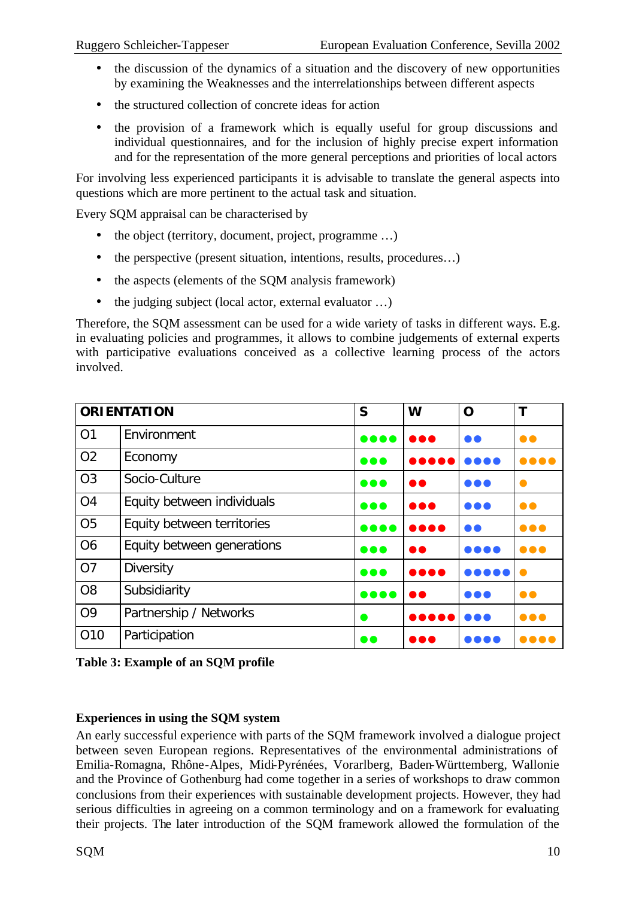- the discussion of the dynamics of a situation and the discovery of new opportunities by examining the Weaknesses and the interrelationships between different aspects
- the structured collection of concrete ideas for action
- the provision of a framework which is equally useful for group discussions and individual questionnaires, and for the inclusion of highly precise expert information and for the representation of the more general perceptions and priorities of local actors

For involving less experienced participants it is advisable to translate the general aspects into questions which are more pertinent to the actual task and situation.

Every SQM appraisal can be characterised by

- the object (territory, document, project, programme ...)
- the perspective (present situation, intentions, results, procedures...)
- the aspects (elements of the SQM analysis framework)
- the judging subject (local actor, external evaluator ...)

Therefore, the SQM assessment can be used for a wide variety of tasks in different ways. E.g. in evaluating policies and programmes, it allows to combine judgements of external experts with participative evaluations conceived as a collective learning process of the actors involved.

|                 | <b>ORIENTATION</b>         | S                              | W                       | O                | Т                       |
|-----------------|----------------------------|--------------------------------|-------------------------|------------------|-------------------------|
| O <sub>1</sub>  | Environment                | $\bullet\bullet\bullet\bullet$ | $\bullet\bullet\bullet$ | $\bullet\bullet$ | $\bullet\bullet$        |
| O <sub>2</sub>  | Economy                    | $\bullet\bullet\bullet$        | ,,,,,                   |                  | 0000                    |
| O <sub>3</sub>  | Socio-Culture              | $\bullet\bullet\bullet$        | $\bullet\bullet$        |                  | $\bullet$               |
| O <sub>4</sub>  | Equity between individuals | $\bullet\bullet\bullet$        | $\bullet\bullet\bullet$ |                  | $\bullet\bullet$        |
| O <sub>5</sub>  | Equity between territories | $\bullet\bullet\bullet\bullet$ |                         | DO               | $\bullet\bullet\bullet$ |
| O <sub>6</sub>  | Equity between generations | $\bullet\bullet\bullet$        | $\bullet\bullet$        | 0000             | $\bullet\bullet\bullet$ |
| O <sub>7</sub>  | Diversity                  | $\bullet\bullet\bullet$        |                         | n a a a i        | $\bullet$               |
| O <sub>8</sub>  | Subsidiarity               | $\bullet\bullet\bullet\bullet$ | $\bullet\bullet$        |                  | $\bullet\bullet$        |
| O <sub>9</sub>  | Partnership / Networks     | $\bullet$                      |                         |                  | $\bullet\bullet\bullet$ |
| O <sub>10</sub> | Participation              | $\bullet\bullet$               | n o e                   |                  |                         |

#### **Table 3: Example of an SQM profile**

#### **Experiences in using the SQM system**

An early successful experience with parts of the SQM framework involved a dialogue project between seven European regions. Representatives of the environmental administrations of Emilia-Romagna, Rhône-Alpes, Midi-Pyrénées, Vorarlberg, Baden-Württemberg, Wallonie and the Province of Gothenburg had come together in a series of workshops to draw common conclusions from their experiences with sustainable development projects. However, they had serious difficulties in agreeing on a common terminology and on a framework for evaluating their projects. The later introduction of the SQM framework allowed the formulation of the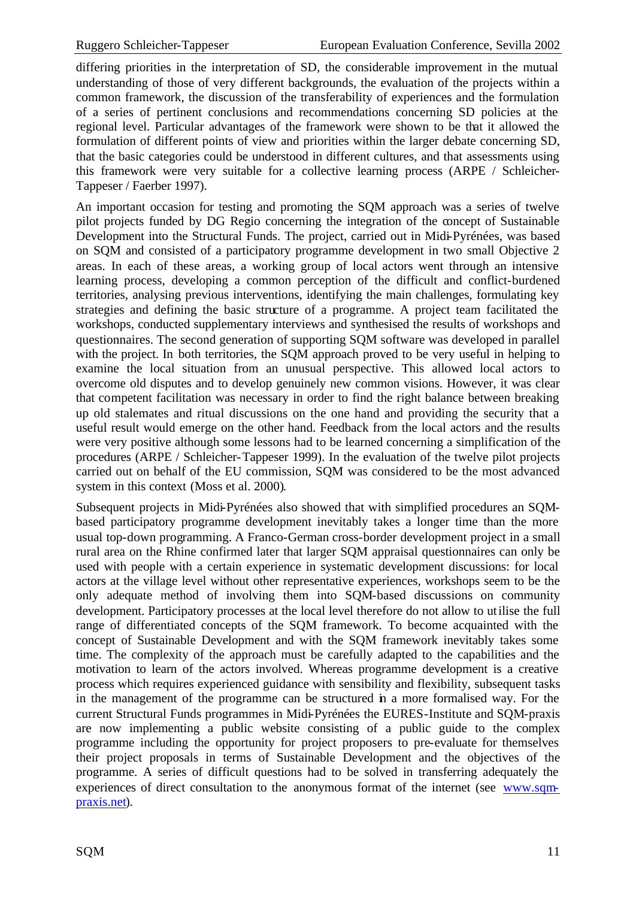differing priorities in the interpretation of SD, the considerable improvement in the mutual understanding of those of very different backgrounds, the evaluation of the projects within a common framework, the discussion of the transferability of experiences and the formulation of a series of pertinent conclusions and recommendations concerning SD policies at the regional level. Particular advantages of the framework were shown to be that it allowed the formulation of different points of view and priorities within the larger debate concerning SD, that the basic categories could be understood in different cultures, and that assessments using this framework were very suitable for a collective learning process (ARPE / Schleicher-Tappeser / Faerber 1997).

An important occasion for testing and promoting the SQM approach was a series of twelve pilot projects funded by DG Regio concerning the integration of the concept of Sustainable Development into the Structural Funds. The project, carried out in Midi-Pyrénées, was based on SQM and consisted of a participatory programme development in two small Objective 2 areas. In each of these areas, a working group of local actors went through an intensive learning process, developing a common perception of the difficult and conflict-burdened territories, analysing previous interventions, identifying the main challenges, formulating key strategies and defining the basic structure of a programme. A project team facilitated the workshops, conducted supplementary interviews and synthesised the results of workshops and questionnaires. The second generation of supporting SQM software was developed in parallel with the project. In both territories, the SQM approach proved to be very useful in helping to examine the local situation from an unusual perspective. This allowed local actors to overcome old disputes and to develop genuinely new common visions. However, it was clear that competent facilitation was necessary in order to find the right balance between breaking up old stalemates and ritual discussions on the one hand and providing the security that a useful result would emerge on the other hand. Feedback from the local actors and the results were very positive although some lessons had to be learned concerning a simplification of the procedures (ARPE / Schleicher-Tappeser 1999). In the evaluation of the twelve pilot projects carried out on behalf of the EU commission, SQM was considered to be the most advanced system in this context (Moss et al. 2000).

Subsequent projects in Midi-Pyrénées also showed that with simplified procedures an SQMbased participatory programme development inevitably takes a longer time than the more usual top-down programming. A Franco-German cross-border development project in a small rural area on the Rhine confirmed later that larger SQM appraisal questionnaires can only be used with people with a certain experience in systematic development discussions: for local actors at the village level without other representative experiences, workshops seem to be the only adequate method of involving them into SQM-based discussions on community development. Participatory processes at the local level therefore do not allow to utilise the full range of differentiated concepts of the SQM framework. To become acquainted with the concept of Sustainable Development and with the SQM framework inevitably takes some time. The complexity of the approach must be carefully adapted to the capabilities and the motivation to learn of the actors involved. Whereas programme development is a creative process which requires experienced guidance with sensibility and flexibility, subsequent tasks in the management of the programme can be structured in a more formalised way. For the current Structural Funds programmes in Midi-Pyrénées the EURES-Institute and SQM-praxis are now implementing a public website consisting of a public guide to the complex programme including the opportunity for project proposers to pre-evaluate for themselves their project proposals in terms of Sustainable Development and the objectives of the programme. A series of difficult questions had to be solved in transferring adequately the experiences of direct consultation to the anonymous format of the internet (see www.sqmpraxis.net).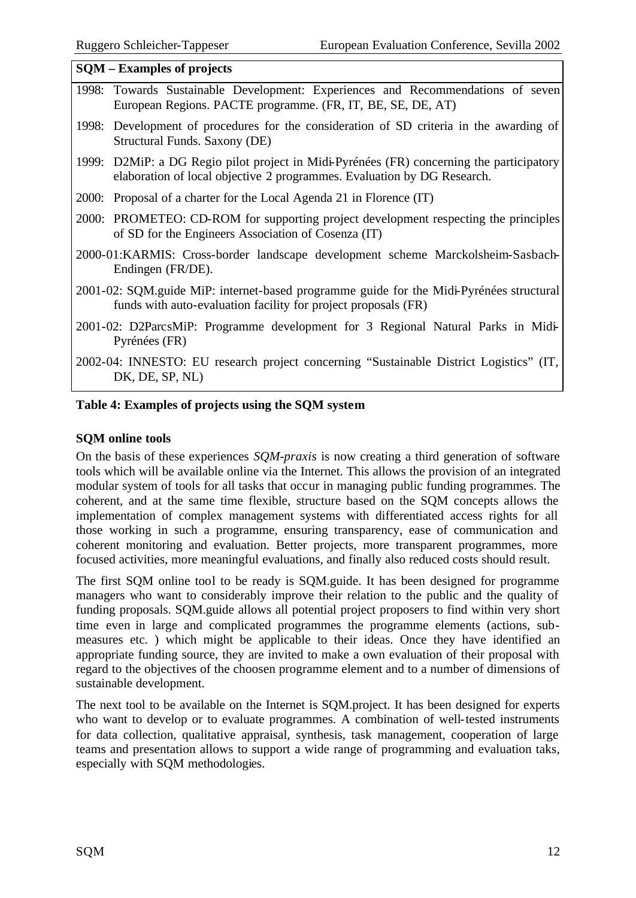| <b>SOM</b> – Examples of projects                                                                                                                                   |
|---------------------------------------------------------------------------------------------------------------------------------------------------------------------|
| 1998: Towards Sustainable Development: Experiences and Recommendations of seven<br>European Regions. PACTE programme. (FR, IT, BE, SE, DE, AT)                      |
| 1998: Development of procedures for the consideration of SD criteria in the awarding of<br>Structural Funds. Saxony (DE)                                            |
| 1999: D2MiP: a DG Regio pilot project in Midi-Pyrénées (FR) concerning the participatory<br>elaboration of local objective 2 programmes. Evaluation by DG Research. |
| 2000: Proposal of a charter for the Local Agenda 21 in Florence (IT)                                                                                                |
| 2000: PROMETEO: CD-ROM for supporting project development respecting the principles<br>of SD for the Engineers Association of Cosenza (IT)                          |
| 2000-01:KARMIS: Cross-border landscape development scheme Marckolsheim-Sasbach-<br>Endingen (FR/DE).                                                                |
| 2001-02: SQM guide MiP: internet-based programme guide for the Midi-Pyrénées structural<br>funds with auto-evaluation facility for project proposals (FR)           |
| 2001-02: D2ParcsMiP: Programme development for 3 Regional Natural Parks in Midi-<br>Pyrénées (FR)                                                                   |
| 2002-04: INNESTO: EU research project concerning "Sustainable District Logistics" (IT,<br>DK, DE, SP, NL)                                                           |

#### **Table 4: Examples of projects using the SQM system**

#### **SQM online tools**

On the basis of these experiences *SQM-praxis* is now creating a third generation of software tools which will be available online via the Internet. This allows the provision of an integrated modular system of tools for all tasks that occur in managing public funding programmes. The coherent, and at the same time flexible, structure based on the SQM concepts allows the implementation of complex management systems with differentiated access rights for all those working in such a programme, ensuring transparency, ease of communication and coherent monitoring and evaluation. Better projects, more transparent programmes, more focused activities, more meaningful evaluations, and finally also reduced costs should result.

The first SQM online tool to be ready is SQM.guide. It has been designed for programme managers who want to considerably improve their relation to the public and the quality of funding proposals. SQM.guide allows all potential project proposers to find within very short time even in large and complicated programmes the programme elements (actions, submeasures etc. ) which might be applicable to their ideas. Once they have identified an appropriate funding source, they are invited to make a own evaluation of their proposal with regard to the objectives of the choosen programme element and to a number of dimensions of sustainable development.

The next tool to be available on the Internet is SQM.project. It has been designed for experts who want to develop or to evaluate programmes. A combination of well-tested instruments for data collection, qualitative appraisal, synthesis, task management, cooperation of large teams and presentation allows to support a wide range of programming and evaluation taks, especially with SQM methodologies.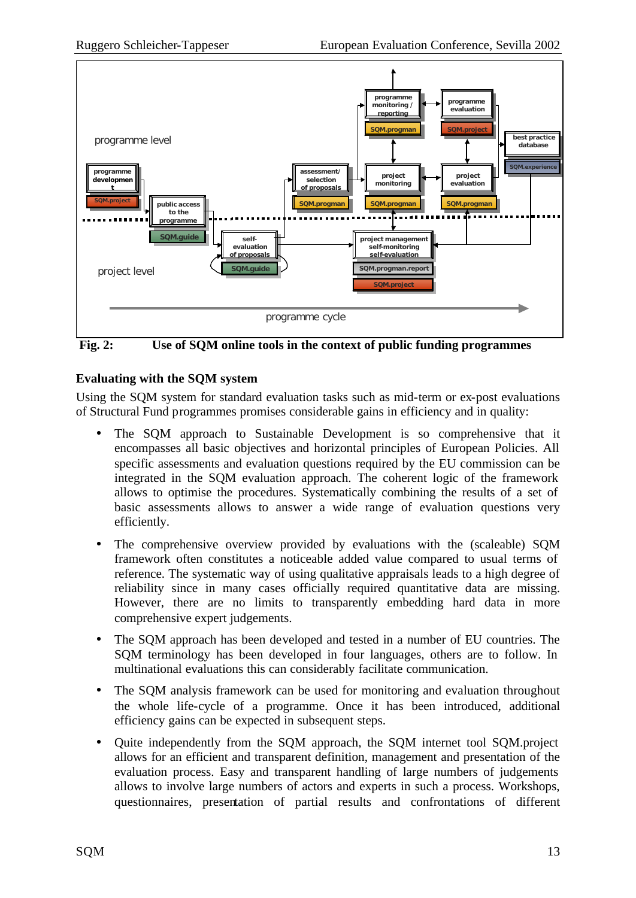

 **Fig. 2: Use of SQM online tools in the context of public funding programmes**

## **Evaluating with the SQM system**

Using the SQM system for standard evaluation tasks such as mid-term or ex-post evaluations of Structural Fund programmes promises considerable gains in efficiency and in quality:

- The SQM approach to Sustainable Development is so comprehensive that it encompasses all basic objectives and horizontal principles of European Policies. All specific assessments and evaluation questions required by the EU commission can be integrated in the SQM evaluation approach. The coherent logic of the framework allows to optimise the procedures. Systematically combining the results of a set of basic assessments allows to answer a wide range of evaluation questions very efficiently.
- The comprehensive overview provided by evaluations with the (scaleable) SOM framework often constitutes a noticeable added value compared to usual terms of reference. The systematic way of using qualitative appraisals leads to a high degree of reliability since in many cases officially required quantitative data are missing. However, there are no limits to transparently embedding hard data in more comprehensive expert judgements.
- The SOM approach has been developed and tested in a number of EU countries. The SQM terminology has been developed in four languages, others are to follow. In multinational evaluations this can considerably facilitate communication.
- The SQM analysis framework can be used for monitoring and evaluation throughout the whole life-cycle of a programme. Once it has been introduced, additional efficiency gains can be expected in subsequent steps.
- Quite independently from the SQM approach, the SQM internet tool SQM.project allows for an efficient and transparent definition, management and presentation of the evaluation process. Easy and transparent handling of large numbers of judgements allows to involve large numbers of actors and experts in such a process. Workshops, questionnaires, presentation of partial results and confrontations of different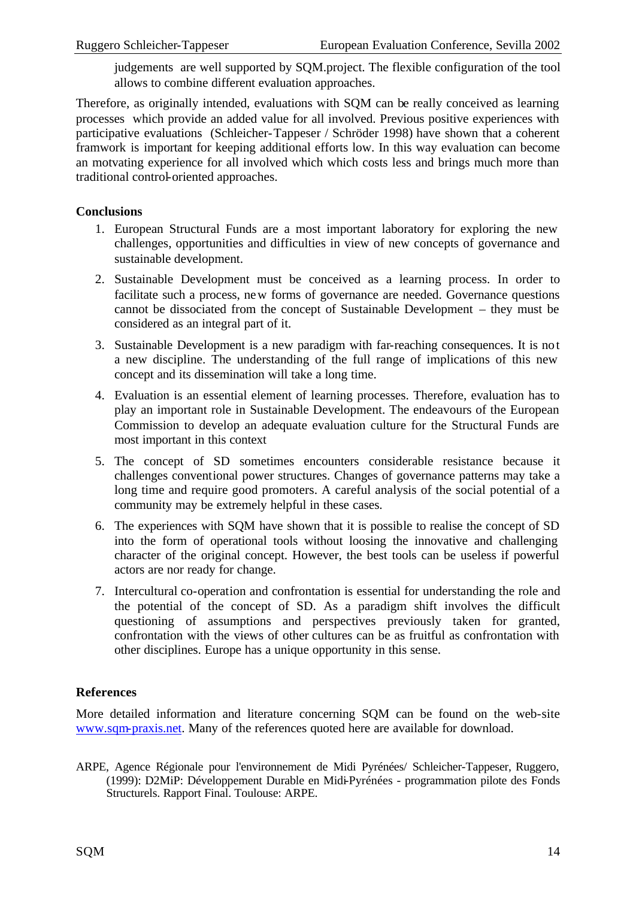judgements are well supported by SQM.project. The flexible configuration of the tool allows to combine different evaluation approaches.

Therefore, as originally intended, evaluations with SQM can be really conceived as learning processes which provide an added value for all involved. Previous positive experiences with participative evaluations (Schleicher-Tappeser / Schröder 1998) have shown that a coherent framwork is important for keeping additional efforts low. In this way evaluation can become an motvating experience for all involved which which costs less and brings much more than traditional control-oriented approaches.

#### **Conclusions**

- 1. European Structural Funds are a most important laboratory for exploring the new challenges, opportunities and difficulties in view of new concepts of governance and sustainable development.
- 2. Sustainable Development must be conceived as a learning process. In order to facilitate such a process, new forms of governance are needed. Governance questions cannot be dissociated from the concept of Sustainable Development – they must be considered as an integral part of it.
- 3. Sustainable Development is a new paradigm with far-reaching consequences. It is not a new discipline. The understanding of the full range of implications of this new concept and its dissemination will take a long time.
- 4. Evaluation is an essential element of learning processes. Therefore, evaluation has to play an important role in Sustainable Development. The endeavours of the European Commission to develop an adequate evaluation culture for the Structural Funds are most important in this context
- 5. The concept of SD sometimes encounters considerable resistance because it challenges conventional power structures. Changes of governance patterns may take a long time and require good promoters. A careful analysis of the social potential of a community may be extremely helpful in these cases.
- 6. The experiences with SQM have shown that it is possible to realise the concept of SD into the form of operational tools without loosing the innovative and challenging character of the original concept. However, the best tools can be useless if powerful actors are nor ready for change.
- 7. Intercultural co-operation and confrontation is essential for understanding the role and the potential of the concept of SD. As a paradigm shift involves the difficult questioning of assumptions and perspectives previously taken for granted, confrontation with the views of other cultures can be as fruitful as confrontation with other disciplines. Europe has a unique opportunity in this sense.

#### **References**

More detailed information and literature concerning SQM can be found on the web-site www.sqm-praxis.net. Many of the references quoted here are available for download.

ARPE, Agence Régionale pour l'environnement de Midi Pyrénées/ Schleicher-Tappeser, Ruggero, (1999): D2MiP: Développement Durable en Midi-Pyrénées - programmation pilote des Fonds Structurels. Rapport Final. Toulouse: ARPE.